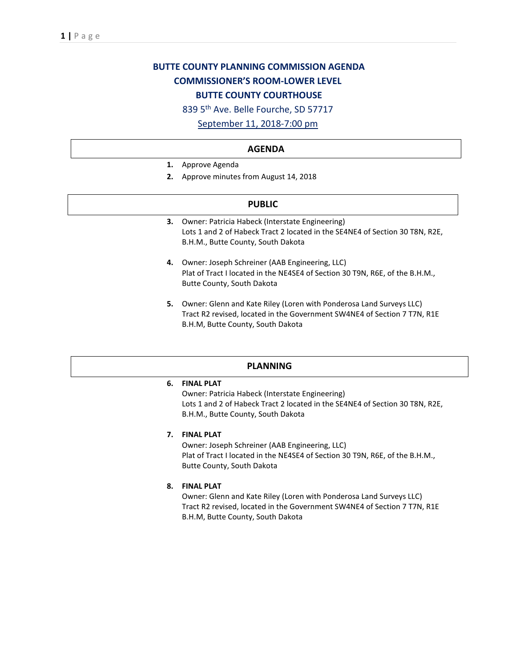# **BUTTE COUNTY PLANNING COMMISSION AGENDA COMMISSIONER'S ROOM-LOWER LEVEL BUTTE COUNTY COURTHOUSE**

839 5th Ave. Belle Fourche, SD 57717

September 11, 2018-7:00 pm

## **AGENDA**

- **1.** Approve Agenda
- **2.** Approve minutes from August 14, 2018

#### **PUBLIC**

- **3.** Owner: Patricia Habeck (Interstate Engineering) Lots 1 and 2 of Habeck Tract 2 located in the SE4NE4 of Section 30 T8N, R2E, B.H.M., Butte County, South Dakota
- **4.** Owner: Joseph Schreiner (AAB Engineering, LLC) Plat of Tract I located in the NE4SE4 of Section 30 T9N, R6E, of the B.H.M., Butte County, South Dakota
- **5.** Owner: Glenn and Kate Riley (Loren with Ponderosa Land Surveys LLC) Tract R2 revised, located in the Government SW4NE4 of Section 7 T7N, R1E B.H.M, Butte County, South Dakota

## **PLANNING**

#### **6. FINAL PLAT**

Owner: Patricia Habeck (Interstate Engineering) Lots 1 and 2 of Habeck Tract 2 located in the SE4NE4 of Section 30 T8N, R2E, B.H.M., Butte County, South Dakota

## **7. FINAL PLAT**

Owner: Joseph Schreiner (AAB Engineering, LLC) Plat of Tract I located in the NE4SE4 of Section 30 T9N, R6E, of the B.H.M., Butte County, South Dakota

# **8. FINAL PLAT**

Owner: Glenn and Kate Riley (Loren with Ponderosa Land Surveys LLC) Tract R2 revised, located in the Government SW4NE4 of Section 7 T7N, R1E B.H.M, Butte County, South Dakota